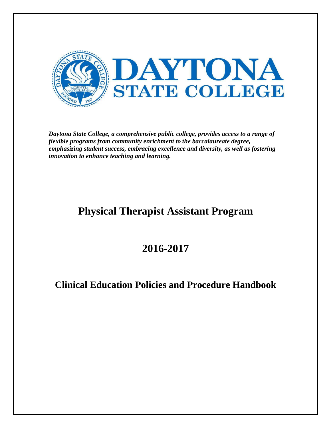

*Daytona State College, a comprehensive public college, provides access to a range of flexible programs from community enrichment to the baccalaureate degree, emphasizing student success, embracing excellence and diversity, as well as fostering innovation to enhance teaching and learning.*

# **Physical Therapist Assistant Program**

# **2016-2017**

# **Clinical Education Policies and Procedure Handbook**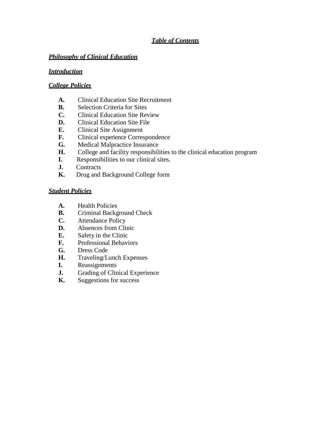# *Table of Contents*

#### *Philosophy of Clinical Education*

#### *Introduction*

#### *College Policies*

- **A.** Clinical Education Site Recruitment
- **B.** Selection Criteria for Sites
- **C.** Clinical Education Site Review
- **D.** Clinical Education Site File
- **E.** Clinical Site Assignment
- **F.** Clinical experience Correspondence
- **G.** Medical Malpractice Insurance
- **H.** College and facility responsibilities to the clinical education program
- **I.** Responsibilities to our clinical sites.
- **J.** Contracts
- **K.** Drug and Background College form

#### *Student Policies*

- **A.** Health Policies
- **B.** Criminal Background Check
- **C.** Attendance Policy
- **D.** Absences from Clinic
- **E.** Safety in the Clinic
- **F.** Professional Behaviors
- **G.** Dress Code
- **H.** Traveling/Lunch Expenses
- **I.** Reassignments
- **J.** Grading of Clinical Experience<br>**K.** Suggestions for success
- **K.** Suggestions for success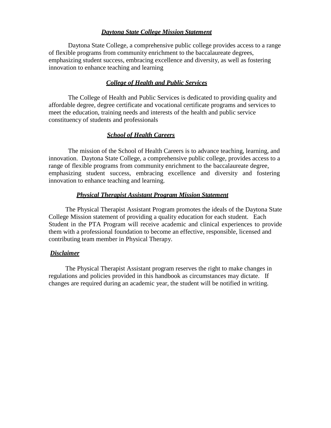#### *Daytona State College Mission Statement*

Daytona State College, a comprehensive public college provides access to a range of flexible programs from community enrichment to the baccalaureate degrees, emphasizing student success, embracing excellence and diversity, as well as fostering innovation to enhance teaching and learning

#### *College of Health and Public Services*

The College of Health and Public Services is dedicated to providing quality and affordable degree, degree certificate and vocational certificate programs and services to meet the education, training needs and interests of the health and public service constituency of students and professionals

#### *School of Health Careers*

The mission of the School of Health Careers is to advance teaching, learning, and innovation. Daytona State College, a comprehensive public college, provides access to a range of flexible programs from community enrichment to the baccalaureate degree, emphasizing student success, embracing excellence and diversity and fostering innovation to enhance teaching and learning.

#### *Physical Therapist Assistant Program Mission Statement*

The Physical Therapist Assistant Program promotes the ideals of the Daytona State College Mission statement of providing a quality education for each student. Each Student in the PTA Program will receive academic and clinical experiences to provide them with a professional foundation to become an effective, responsible, licensed and contributing team member in Physical Therapy.

#### *Disclaimer*

The Physical Therapist Assistant program reserves the right to make changes in regulations and policies provided in this handbook as circumstances may dictate. If changes are required during an academic year, the student will be notified in writing.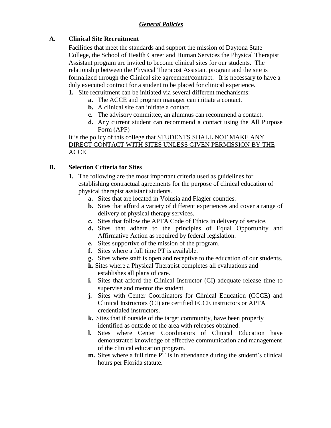# *General Policies*

## **A. Clinical Site Recruitment**

Facilities that meet the standards and support the mission of Daytona State College, the School of Health Career and Human Services the Physical Therapist Assistant program are invited to become clinical sites for our students. The relationship between the Physical Therapist Assistant program and the site is formalized through the Clinical site agreement/contract. It is necessary to have a duly executed contract for a student to be placed for clinical experience.

**1.** Site recruitment can be initiated via several different mechanisms:

- **a.** The ACCE and program manager can initiate a contact.
- **b.** A clinical site can initiate a contact.
- **c.** The advisory committee, an alumnus can recommend a contact.
- **d.** Any current student can recommend a contact using the All Purpose Form (APF)

It is the policy of this college that STUDENTS SHALL NOT MAKE ANY DIRECT CONTACT WITH SITES UNLESS GIVEN PERMISSION BY THE ACCE

# **B. Selection Criteria for Sites**

- **1.** The following are the most important criteria used as guidelines for establishing contractual agreements for the purpose of clinical education of physical therapist assistant students.
	- **a.** Sites that are located in Volusia and Flagler counties.
	- **b.** Sites that afford a variety of different experiences and cover a range of delivery of physical therapy services.
	- **c.** Sites that follow the APTA Code of Ethics in delivery of service.
	- **d.** Sites that adhere to the principles of Equal Opportunity and Affirmative Action as required by federal legislation.
	- **e.** Sites supportive of the mission of the program.
	- **f.** Sites where a full time PT is available.
	- **g.** Sites where staff is open and receptive to the education of our students.
	- **h.** Sites where a Physical Therapist completes all evaluations and establishes all plans of care.
	- **i.** Sites that afford the Clinical Instructor (CI) adequate release time to supervise and mentor the student.
	- **j.** Sites with Center Coordinators for Clinical Education (CCCE) and Clinical Instructors (CI) are certified FCCE instructors or APTA credentialed instructors.
	- **k.** Sites that if outside of the target community, have been properly identified as outside of the area with releases obtained.
	- **l.** Sites where Center Coordinators of Clinical Education have demonstrated knowledge of effective communication and management of the clinical education program.
	- **m.** Sites where a full time PT is in attendance during the student's clinical hours per Florida statute.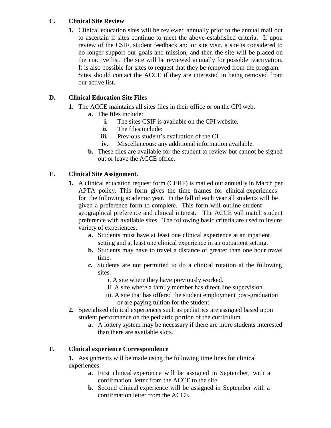# **C. Clinical Site Review**

**1.** Clinical education sites will be reviewed annually prior to the annual mail out to ascertain if sites continue to meet the above-established criteria. If upon review of the CSIF, student feedback and or site visit, a site is considered to no longer support our goals and mission, and then the site will be placed on the inactive list. The site will be reviewed annually for possible reactivation. It is also possible for sites to request that they be removed from the program. Sites should contact the ACCE if they are interested in being removed from our active list.

# **D. Clinical Education Site Files**

- **1.** The ACCE maintains all sites files in their office or on the CPI web.
	- **a.** The files include:
		- **i.** The sites CSIF is available on the CPI website.
		- **ii.** The files include:
		- **iii.** Previous student's evaluation of the CI.
		- **iv.** Miscellaneous: any additional information available.
	- **b.** These files are available for the student to review but cannot be signed out or leave the ACCE office.

# **E. Clinical Site Assignment.**

- **1.** A clinical education request form (CERF) is mailed out annually in March per APTA policy. This form gives the time frames for clinical experiences for the following academic year. In the fall of each year all students will be given a preference form to complete. This form will outline student geographical preference and clinical interest. The ACCE will match student preference with available sites. The following basic criteria are used to insure variety of experiences.
	- **a.** Students must have at least one clinical experience at an inpatient setting and at least one clinical experience in an outpatient setting.
	- **b.** Students may have to travel a distance of greater than one hour travel time.
	- **c.** Students are not permitted to do a clinical rotation at the following sites.
		- i. A site where they have previously worked.
		- ii. A site where a family member has direct line supervision.
		- iii. A site that has offered the student employment post-graduation or are paying tuition for the student.
- **2.** Specialized clinical experiences such as pediatrics are assigned based upon student performance on the pediatric portion of the curriculum.
	- **a.** A lottery system may be necessary if there are more students interested than there are available slots.

## **F. Clinical experience Correspondence**

**1.** Assignments will be made using the following time lines for clinical experiences.

- **a.** First clinical experience will be assigned in September, with a confirmation letter from the ACCE to the site.
- **b.** Second clinical experience will be assigned in September with a confirmation letter from the ACCE.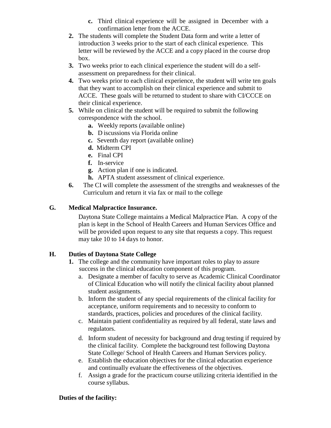- **c.** Third clinical experience will be assigned in December with a confirmation letter from the ACCE.
- **2.** The students will complete the Student Data form and write a letter of introduction 3 weeks prior to the start of each clinical experience. This letter will be reviewed by the ACCE and a copy placed in the course drop box.
- **3.** Two weeks prior to each clinical experience the student will do a selfassessment on preparedness for their clinical.
- **4.** Two weeks prior to each clinical experience, the student will write ten goals that they want to accomplish on their clinical experience and submit to ACCE. These goals will be returned to student to share with CI/CCCE on their clinical experience.
- **5.** While on clinical the student will be required to submit the following correspondence with the school.
	- **a.** Weekly reports (available online)
	- **b.** D iscussions via Florida online
	- **c.** Seventh day report (available online)
	- **d.** Midterm CPI
	- **e.** Final CPI
	- **f.** In-service
	- **g.** Action plan if one is indicated.
	- **h.** APTA student assessment of clinical experience.
- **6.** The CI will complete the assessment of the strengths and weaknesses of the Curriculum and return it via fax or mail to the college

# **G. Medical Malpractice Insurance.**

Daytona State College maintains a Medical Malpractice Plan. A copy of the plan is kept in the School of Health Careers and Human Services Office and will be provided upon request to any site that requests a copy. This request may take 10 to 14 days to honor.

# **H. Duties of Daytona State College**

- **1.** The college and the community have important roles to play to assure success in the clinical education component of this program.
	- a. Designate a member of faculty to serve as Academic Clinical Coordinator of Clinical Education who will notify the clinical facility about planned student assignments.
	- b. Inform the student of any special requirements of the clinical facility for acceptance, uniform requirements and to necessity to conform to standards, practices, policies and procedures of the clinical facility.
	- c. Maintain patient confidentiality as required by all federal, state laws and regulators.
	- d. Inform student of necessity for background and drug testing if required by the clinical facility. Complete the background test following Daytona State College/ School of Health Careers and Human Services policy.
	- e. Establish the education objectives for the clinical education experience and continually evaluate the effectiveness of the objectives.
	- f. Assign a grade for the practicum course utilizing criteria identified in the course syllabus.

## **Duties of the facility:**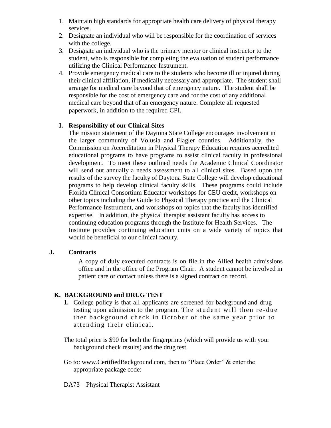- 1. Maintain high standards for appropriate health care delivery of physical therapy services.
- 2. Designate an individual who will be responsible for the coordination of services with the college.
- 3. Designate an individual who is the primary mentor or clinical instructor to the student, who is responsible for completing the evaluation of student performance utilizing the Clinical Performance Instrument.
- 4. Provide emergency medical care to the students who become ill or injured during their clinical affiliation, if medically necessary and appropriate. The student shall arrange for medical care beyond that of emergency nature. The student shall be responsible for the cost of emergency care and for the cost of any additional medical care beyond that of an emergency nature. Complete all requested paperwork, in addition to the required CPI.

#### **I. Responsibility of our Clinical Sites**

The mission statement of the Daytona State College encourages involvement in the larger community of Volusia and Flagler counties. Additionally, the Commission on Accreditation in Physical Therapy Education requires accredited educational programs to have programs to assist clinical faculty in professional development. To meet these outlined needs the Academic Clinical Coordinator will send out annually a needs assessment to all clinical sites. Based upon the results of the survey the faculty of Daytona State College will develop educational programs to help develop clinical faculty skills. These programs could include Florida Clinical Consortium Educator workshops for CEU credit, workshops on other topics including the Guide to Physical Therapy practice and the Clinical Performance Instrument, and workshops on topics that the faculty has identified expertise. In addition, the physical therapist assistant faculty has access to continuing education programs through the Institute for Health Services. The Institute provides continuing education units on a wide variety of topics that would be beneficial to our clinical faculty.

#### **J. Contracts**

A copy of duly executed contracts is on file in the Allied health admissions office and in the office of the Program Chair. A student cannot be involved in patient care or contact unless there is a signed contract on record.

## **K. BACKGROUND and DRUG TEST**

- **1.** College policy is that all applicants are screened for background and drug testing upon admission to the program. The student will then re-due ther background check in October of the same year prior to attending their clinical.
- The total price is \$90 for both the fingerprints (which will provide us with your background check results) and the drug test.
- Go to: www.CertifiedBackground.com, then to "Place Order" & enter the appropriate package code:
- DA73 Physical Therapist Assistant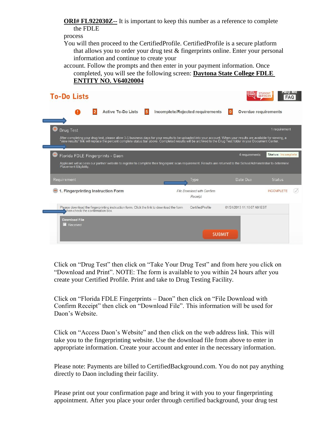**ORI# FL922030Z--** It is important to keep this number as a reference to complete the FDLE

process

You will then proceed to the CertifiedProfile. CertifiedProfile is a secure platform that allows you to order your drug test & fingerprints online. Enter your personal information and continue to create your

account. Follow the prompts and then enter in your payment information. Once completed, you will see the following screen: **Daytona State College FDLE ENTITY NO. V64020004**

| <b>To-Do Lists</b>                                                                                                                                                                                                                                                                                                                            |                                       |                                  | петр ме<br><b>STUDENT</b><br><b>SERVICES</b> |
|-----------------------------------------------------------------------------------------------------------------------------------------------------------------------------------------------------------------------------------------------------------------------------------------------------------------------------------------------|---------------------------------------|----------------------------------|----------------------------------------------|
| <b>Active To-Do Lists</b><br>$5\phantom{.0}$                                                                                                                                                                                                                                                                                                  | Incomplete/Rejected requirements      | Overdue requirements<br>$\bf{0}$ |                                              |
| Drug Test<br>After completing your drug test, please allow 3-5 business days for your results to be uploaded into your account. When your results are available for viewing, a<br>"view results" link will replace the percent complete status bar above. Completed results will be archived to the Drug Test folder in your Document Center. |                                       |                                  | 1 requirement                                |
| Florida FDLE Fingerprints - Daon<br>Applicant will access our partner website to register to complete their fingerprint scan requirement. Results are returned to the School Administrator to determine                                                                                                                                       |                                       | 4 requirements                   | Status: Incomplete                           |
| Placement Eligibility.<br>Requirement                                                                                                                                                                                                                                                                                                         | Type                                  | Date Due                         | <b>Status</b>                                |
|                                                                                                                                                                                                                                                                                                                                               |                                       |                                  |                                              |
| 1. Fingerprinting Instruction Form                                                                                                                                                                                                                                                                                                            | File Download with Confirm<br>Receipt |                                  | <b>INCOMPLETE</b>                            |
| Please download the fingerprinting instruction form. Click the link to download the form<br>then check the confirmation box.                                                                                                                                                                                                                  | CertifiedProfile                      | 01/24/2013 11:10:07 AM EST       |                                              |
| <b>Download File</b><br>Received                                                                                                                                                                                                                                                                                                              |                                       |                                  |                                              |

Click on "Drug Test" then click on "Take Your Drug Test" and from here you click on "Download and Print". NOTE: The form is available to you within 24 hours after you create your Certified Profile. Print and take to Drug Testing Facility.

Click on "Florida FDLE Fingerprints – Daon" then click on "File Download with Confirm Receipt" then click on "Download File". This information will be used for Daon's Website.

Click on "Access Daon's Website" and then click on the web address link. This will take you to the fingerprinting website. Use the download file from above to enter in appropriate information. Create your account and enter in the necessary information.

Please note: Payments are billed to CertifiedBackground.com. You do not pay anything directly to Daon including their facility.

Please print out your confirmation page and bring it with you to your fingerprinting appointment. After you place your order through certified background, your drug test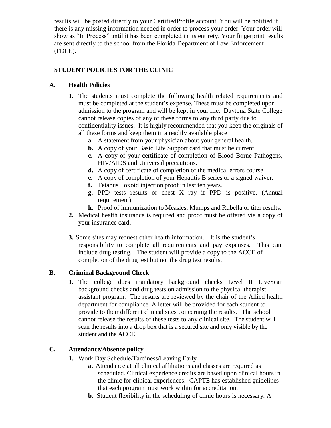results will be posted directly to your CertifiedProfile account. You will be notified if there is any missing information needed in order to process your order. Your order will show as "In Process" until it has been completed in its entirety. Your fingerprint results are sent directly to the school from the Florida Department of Law Enforcement (FDLE).

# **STUDENT POLICIES FOR THE CLINIC**

## **A. Health Policies**

- **1.** The students must complete the following health related requirements and must be completed at the student's expense. These must be completed upon admission to the program and will be kept in your file. Daytona State College cannot release copies of any of these forms to any third party due to confidentiality issues. It is highly recommended that you keep the originals of all these forms and keep them in a readily available place
	- **a.** A statement from your physician about your general health.
	- **b.** A copy of your Basic Life Support card that must be current.
	- **c.** A copy of your certificate of completion of Blood Borne Pathogens, HIV/AIDS and Universal precautions.
	- **d.** A copy of certificate of completion of the medical errors course.
	- **e.** A copy of completion of your Hepatitis B series or a signed waiver.
	- **f.** Tetanus Toxoid injection proof in last ten years.
	- **g.** PPD tests results or chest X ray if PPD is positive. (Annual requirement)
	- **h.** Proof of immunization to Measles, Mumps and Rubella or titer results.
- **2.** Medical health insurance is required and proof must be offered via a copy of your insurance card.
- **3.** Some sites may request other health information. It is the student's responsibility to complete all requirements and pay expenses. This can include drug testing. The student will provide a copy to the ACCE of completion of the drug test but not the drug test results.

## **B. Criminal Background Check**

1. The college does mandatory background checks Level II LiveScan background checks and drug tests on admission to the physical therapist assistant program. The results are reviewed by the chair of the Allied health department for compliance. A letter will be provided for each student to provide to their different clinical sites concerning the results. The school cannot release the results of these tests to any clinical site. The student will scan the results into a drop box that is a secured site and only visible by the student and the ACCE.

## **C. Attendance/Absence policy**

- **1.** Work Day Schedule/Tardiness/Leaving Early
	- **a.** Attendance at all clinical affiliations and classes are required as scheduled. Clinical experience credits are based upon clinical hours in the clinic for clinical experiences. CAPTE has established guidelines that each program must work within for accreditation.
	- **b.** Student flexibility in the scheduling of clinic hours is necessary. A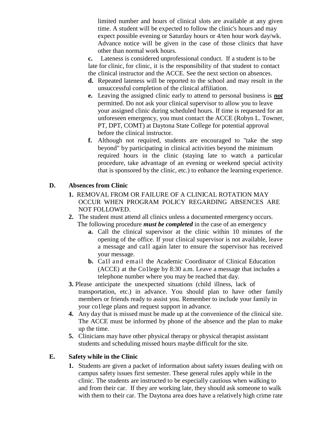limited number and hours of clinical slots are available at any given time. A student will be expected to follow the clinic's hours and may expect possible evening or Saturday hours or 4/ten hour work day/wk. Advance notice will be given in the case of those clinics that have other than normal work hours.

**c.** Lateness is considered unprofessional conduct. If a student is to be late for clinic, for clinic, it is the responsibility of that student to contact the clinical instructor and the ACCE. See the next section on absences.

- **d.** Repeated lateness will be reported to the school and may result in the unsuccessful completion of the clinical affiliation.
- **e.** Leaving the assigned clinic early to attend to personal business is *not* permitted. Do not ask your clinical supervisor to allow you to leave your assigned clinic during scheduled hours. If time is requested for an unforeseen emergency, you must contact the ACCE (Robyn L. Towner, PT, DPT, COMT) at Daytona State College for potential approval before the clinical instructor.
- **f.** Although not required, students are encouraged to "take the step beyond" by participating in clinical activities beyond the minimum required hours in the clinic (staying late to watch a particular procedure, take advantage of an evening or weekend special activity that is sponsored by the clinic, etc.) to enhance the learning experience.

# **D. Absences from Clinic**

- **1.** REMOVAL FROM OR FAILURE OF A CLINICAL ROTATION MAY OCCUR WHEN PROGRAM POLICY REGARDING ABSENCES ARE NOT FOLLOWED.
- **2.** The student must attend all clinics unless a documented emergency occurs. The following procedure *must be completed* in the case of an emergency
	- **a.** Call the clinical supervisor at the clinic within 10 minutes of the opening of the office. If your clinical supervisor is not available, leave a message and ca1l again later to ensure the supervisor has received your message.
	- **b.** Ca1l and email the Academic Coordinator of Clinical Education (ACCE) at the Co1lege by 8:30 a.m. Leave a message that includes a telephone number where you may be reached that day.
- **3.** Please anticipate the unexpected situations (child illness, lack of transportation, etc.) in advance. You should plan to have other family members or friends ready to assist you. Remember to include your family in your co1lege plans and request support in advance.
- **4.** Any day that is missed must be made up at the convenience of the clinical site. The ACCE must be informed by phone of the absence and the plan to make up the time.
- **5.** Clinicians may have other physical therapy or physical therapist assistant students and scheduling missed hours maybe difficult for the site.

## **E. Safety while in the Clinic**

**1.** Students are given a packet of information about safety issues dealing with on campus safety issues first semester. These general rules apply while in the clinic. The students are instructed to be especially cautious when walking to and from their car. If they are working late, they should ask someone to walk with them to their car. The Daytona area does have a relatively high crime rate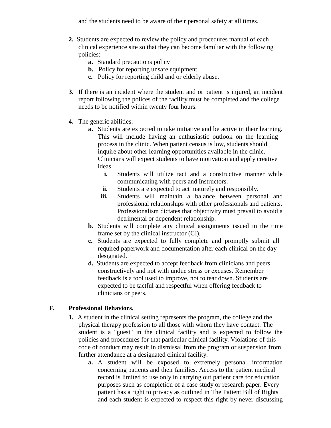and the students need to be aware of their personal safety at all times.

- **2.** Students are expected to review the policy and procedures manual of each clinical experience site so that they can become familiar with the following policies:
	- **a.** Standard precautions policy
	- **b.** Policy for reporting unsafe equipment.
	- **c.** Policy for reporting child and or elderly abuse.
- **3.** If there is an incident where the student and or patient is injured, an incident report following the polices of the facility must be completed and the college needs to be notified within twenty four hours.
- **4.** The generic abilities:
	- **a.** Students are expected to take initiative and be active in their learning. This will include having an enthusiastic outlook on the learning process in the clinic. When patient census is low, students should inquire about other learning opportunities available in the clinic. Clinicians will expect students to have motivation and apply creative ideas.
		- **i.** Students will utilize tact and a constructive manner while communicating with peers and Instructors.
		- **ii.** Students are expected to act maturely and responsibly.
		- **iii.** Students will maintain a balance between personal and professional relationships with other professionals and patients. Professionalism dictates that objectivity must prevail to avoid a detrimental or dependent relationship.
	- **b.** Students will complete any clinical assignments issued in the time frame set by the clinical instructor (CI).
	- **c.** Students are expected to fully complete and promptly submit all required paperwork and documentation after each clinical on the day designated.
	- **d.** Students are expected to accept feedback from clinicians and peers constructively and not with undue stress or excuses. Remember feedback is a tool used to improve, not to tear down. Students are expected to be tactful and respectful when offering feedback to clinicians or peers.

## **F. Professional Behaviors.**

- **1.** A student in the clinical setting represents the program, the college and the physical therapy profession to all those with whom they have contact. The student is a "guest" in the clinical facility and is expected to follow the policies and procedures for that particular clinical facility. Violations of this code of conduct may result in dismissal from the program or suspension from further attendance at a designated clinical facility.
	- **a.** A student will be exposed to extremely personal information concerning patients and their families. Access to the patient medical record is limited to use only in carrying out patient care for education purposes such as completion of a case study or research paper. Every patient has a right to privacy as outlined in The Patient Bill of Rights and each student is expected to respect this right by never discussing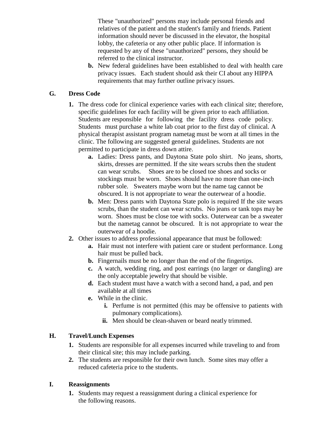These "unauthorized" persons may include personal friends and relatives of the patient and the student's family and friends. Patient information should never be discussed in the elevator, the hospital lobby, the cafeteria or any other public place. If information is requested by any of these "unauthorized" persons, they should be referred to the clinical instructor.

**b.** New federal guidelines have been established to deal with health care privacy issues. Each student should ask their CI about any HIPPA requirements that may further outline privacy issues.

## **G. Dress Code**

- **1.** The dress code for clinical experience varies with each clinical site; therefore, specific guidelines for each facility will be given prior to each affiliation. Students are responsible for following the facility dress code policy. Students must purchase a white lab coat prior to the first day of clinical. A physical therapist assistant program nametag must be worn at all times in the clinic. The following are suggested general guidelines. Students are not permitted to participate in dress down attire.
	- **a.** Ladies: Dress pants, and Daytona State polo shirt. No jeans, shorts, skirts, dresses are permitted. If the site wears scrubs then the student can wear scrubs. Shoes are to be closed toe shoes and socks or stockings must be worn. Shoes should have no more than one-inch rubber sole. Sweaters maybe worn but the name tag cannot be obscured. It is not appropriate to wear the outerwear of a hoodie.
	- **b.** Men: Dress pants with Daytona State polo is required If the site wears scrubs, than the student can wear scrubs. No jeans or tank tops may be worn. Shoes must be close toe with socks. Outerwear can be a sweater but the nametag cannot be obscured. It is not appropriate to wear the outerwear of a hoodie.
- **2.** Other issues to address professional appearance that must be followed:
	- **a.** Hair must not interfere with patient care or student performance. Long hair must be pulled back.
	- **b.** Fingernails must be no longer than the end of the fingertips.
	- **c.** A watch, wedding ring, and post earrings (no larger or dangling) are the only acceptable jewelry that should be visible.
	- **d.** Each student must have a watch with a second hand, a pad, and pen available at all times
	- **e.** While in the clinic.
		- **i.** Perfume is not permitted (this may be offensive to patients with pulmonary complications).
		- **ii.** Men should be clean-shaven or beard neatly trimmed.

## **H. Travel/Lunch Expenses**

- **1.** Students are responsible for all expenses incurred while traveling to and from their clinical site; this may include parking.
- **2.** The students are responsible for their own lunch. Some sites may offer a reduced cafeteria price to the students.

## **I. Reassignments**

**1.** Students may request a reassignment during a clinical experience for the following reasons.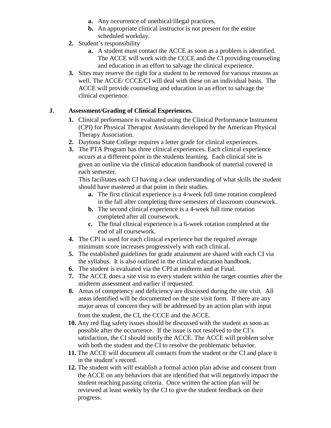- **a.** Any occurrence of unethical/illegal practices.
- **b.** An appropriate clinical instructor is not present for the entire scheduled workday.
- **2.** Student's responsibility
	- **a.** A student must contact the ACCE as soon as a problem is identified. The ACCE will work with the CCCE and the CI providing counseling and education in an effort to salvage the clinical experience.
- **3.** Sites may reserve the right for a student to be removed for various reasons as well. The ACCE/ CCCE/CI will deal with these on an individual basis. The ACCE will provide counseling and education in an effort to salvage the clinical experience.

# **J. Assessment/Grading of Clinical Experiences.**

- **1.** Clinical performance is evaluated using the Clinical Performance Instrument (CPI) for Physical Therapist Assistants developed by the American Physical Therapy Association.
- **2.** Daytona State College requires a letter grade for clinical experiences.
- **3.** The PTA Program has three clinical experiences. Each clinical experience occurs at a different point in the students learning. Each clinical site is given an outline via the clinical education handbook of material covered in each semester.

This facilitates each CI having a clear understanding of what skills the student should have mastered at that point in their studies.

- **a.** The first clinical experience is a 4-week full time rotation completed in the fall after completing three semesters of classroom coursework.
- **b.** The second clinical experience is a 4-week full time rotation completed after all coursework.
- **c.** The final clinical experience is a 6-week rotation completed at the end of all coursework.
- **4.** The CPI is used for each clinical experience but the required average minimum score increases progressively with each clinical.
- **5.** The established guidelines for grade attainment are shared with each CI via the syllabus. It is also outlined in the clinical education handbook.
- **6.** The student is evaluated via the CPI at midterm and at Final.
- **7.** The ACCE does a site visit to every student within the target counties after the midterm assessment and earlier if requested.
- **8.** Areas of competency and deficiency are discussed during the site visit. All areas identified will be documented on the site visit form. If there are any major areas of concern they will be addressed by an action plan with input from the student, the CI, the CCCE and the ACCE.
- **10.** Any red flag safety issues should be discussed with the student as soon as possible after the occurrence. If the issue is not resolved to the CI's satisfaction, the CI should notify the ACCE. The ACCE will problem solve with both the student and the CI to resolve the problematic behavior.
- **11.** The ACCE will document all contacts from the student or the CI and place it in the student's record.
- **12.** The student with will establish a formal action plan advise and consent from the ACCE on any behaviors that are identified that will negatively impact the student reaching passing criteria. Once written the action plan will be reviewed at least weekly by the CI to give the student feedback on their progress.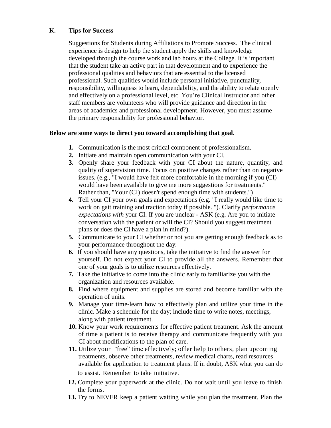#### **K. Tips for Success**

Suggestions for Students during Affiliations to Promote Success. The clinical experience is design to help the student apply the skills and knowledge developed through the course work and lab hours at the College. It is important that the student take an active part in that development and to experience the professional qualities and behaviors that are essential to the licensed professional. Such qualities would include personal initiative, punctuality, responsibility, willingness to learn, dependability, and the ability to relate openly and effectively on a professional level, etc. You're Clinical Instructor and other staff members are volunteers who will provide guidance and direction in the areas of academics and professional development. However, you must assume the primary responsibility for professional behavior.

#### **Below are some ways to direct you toward accomplishing that goal.**

- **1.** Communication is the most critical component of professionalism.
- **2.** Initiate and maintain open communication with your CI.
- **3.** Openly share your feedback with your CI about the nature, quantity, and quality of supervision time. Focus on positive changes rather than on negative issues. (e.g., "I would have felt more comfortable in the morning if you (CI) would have been available to give me more suggestions for treatments." Rather than, "Your (CI) doesn't spend enough time with students.")
- **4.** Tell your CI your own goals and expectations (e.g. "I really would like time to work on gait training and traction today if possible. "). Clarify *performance expectations with* your CI. If you are unclear - ASK (e.g. Are you to initiate conversation with the patient or will the CI? Should you suggest treatment plans or does the CI have a plan in mind?).
- **5.** Communicate to your CI whether or not you are getting enough feedback as to your performance throughout the day.
- **6.** If you should have any questions, take the initiative to find the answer for yourself. Do not expect your CI to provide all the answers. Remember that one of your goals is to utilize resources effectively.
- **7.** Take the initiative to come into the clinic early to familiarize you with the organization and resources available.
- **8.** Find where equipment and supplies are stored and become familiar with the operation of units.
- **9.** Manage your time-learn how to effectively plan and utilize your time in the clinic. Make a schedule for the day; include time to write notes, meetings, along with patient treatment.
- **10.** Know your work requirements for effective patient treatment. Ask the amount of time a patient is to receive therapy and communicate frequently with you CI about modifications to the plan of care.
- **11.** Utilize your "free" time effectively; offer help to others, plan upcoming treatments, observe other treatments, review medical charts, read resources available for application to treatment plans. If in doubt, ASK what you can do to assist. Remember to take initiative.
- **12.** Complete your paperwork at the clinic. Do not wait until you leave to finish the forms.
- **13.** Try to NEVER keep a patient waiting while you plan the treatment. Plan the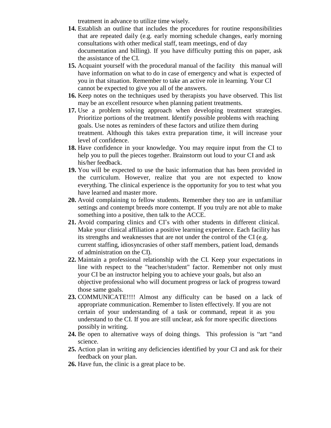treatment in advance to utilize time wisely.

- **14.** Establish an outline that includes the procedures for routine responsibilities that are repeated daily (e.g. early morning schedule changes, early morning consultations with other medical staff, team meetings, end of day documentation and billing). If you have difficulty putting this on paper, ask the assistance of the CI.
- **15.** Acquaint yourself with the procedural manual of the facility this manual will have information on what to do in case of emergency and what is expected of you in that situation. Remember to take an active role in learning. Your CI cannot be expected to give you all of the answers.
- **16.** Keep notes on the techniques used by therapists you have observed. This list may be an excellent resource when planning patient treatments.
- **17.** Use a problem solving approach when developing treatment strategies. Prioritize portions of the treatment. Identify possible problems with reaching goals. Use notes as reminders of these factors and utilize them during treatment. Although this takes extra preparation time, it will increase your level of confidence.
- **18.** Have confidence in your knowledge. You may require input from the CI to help you to pull the pieces together. Brainstorm out loud to your CI and ask his/her feedback.
- **19.** You will be expected to use the basic information that has been provided in the curriculum. However, realize that you are not expected to know everything. The clinical experience is the opportunity for you to test what you have learned and master more.
- **20.** Avoid complaining to fellow students. Remember they too are in unfamiliar settings and contempt breeds more contempt. If you truly are not able to make something into a positive, then talk to the ACCE.
- **21.** Avoid comparing clinics and CI's with other students in different clinical. Make your clinical affiliation a positive learning experience. Each facility has its strengths and weaknesses that are not under the control of the CI (e.g. current staffing, idiosyncrasies of other staff members, patient load, demands of administration on the CI).
- **22.** Maintain a professional relationship with the CI. Keep your expectations in line with respect to the "teacher/student" factor. Remember not only must your CI be an instructor helping you to achieve your goals, but also an objective professional who will document progress or lack of progress toward those same goals.
- **23.** COMMUNICATE!!!! Almost any difficulty can be based on a lack of appropriate communication. Remember to listen effectively. If you are not certain of your understanding of a task or command, repeat it as you understand to the CI. If you are still unclear, ask for more specific directions possibly in writing.
- **24.** Be open to alternative ways of doing things. This profession is "art "and science.
- **25.** Action plan in writing any deficiencies identified by your CI and ask for their feedback on your plan.
- **26.** Have fun, the clinic is a great place to be.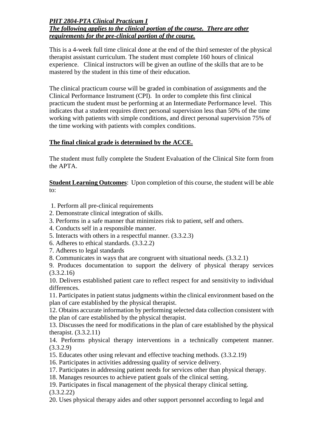#### *PHT 2804-PTA Clinical Practicum I The following applies to the clinical portion of the course. There are other requirements for the pre-clinical portion of the course.*

This is a 4-week full time clinical done at the end of the third semester of the physical therapist assistant curriculum. The student must complete 160 hours of clinical experience. Clinical instructors will be given an outline of the skills that are to be mastered by the student in this time of their education.

The clinical practicum course will be graded in combination of assignments and the Clinical Performance Instrument (CPI). In order to complete this first clinical practicum the student must be performing at an Intermediate Performance level. This indicates that a student requires direct personal supervision less than 50% of the time working with patients with simple conditions, and direct personal supervision 75% of the time working with patients with complex conditions.

# **The final clinical grade is determined by the ACCE.**

The student must fully complete the Student Evaluation of the Clinical Site form from the APTA.

**Student Learning Outcomes**: Upon completion of this course, the student will be able to:

- 1. Perform all pre-clinical requirements
- 2. Demonstrate clinical integration of skills.
- 3. Performs in a safe manner that minimizes risk to patient, self and others.
- 4. Conducts self in a responsible manner.
- 5. Interacts with others in a respectful manner. (3.3.2.3)
- 6. Adheres to ethical standards. (3.3.2.2)
- 7. Adheres to legal standards

8. Communicates in ways that are congruent with situational needs. (3.3.2.1)

9. Produces documentation to support the delivery of physical therapy services (3.3.2.16)

10. Delivers established patient care to reflect respect for and sensitivity to individual differences.

11. Participates in patient status judgments within the clinical environment based on the plan of care established by the physical therapist.

12. Obtains accurate information by performing selected data collection consistent with the plan of care established by the physical therapist.

13. Discusses the need for modifications in the plan of care established by the physical therapist. (3.3.2.11)

14. Performs physical therapy interventions in a technically competent manner. (3.3.2.9)

- 15. Educates other using relevant and effective teaching methods. (3.3.2.19)
- 16. Participates in activities addressing quality of service delivery.
- 17. Participates in addressing patient needs for services other than physical therapy.

18. Manages resources to achieve patient goals of the clinical setting.

19. Participates in fiscal management of the physical therapy clinical setting. (3.3.2.22)

20. Uses physical therapy aides and other support personnel according to legal and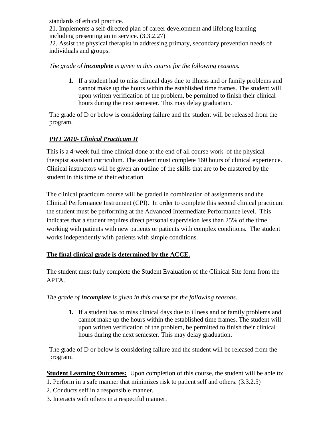standards of ethical practice. 21. Implements a self-directed plan of career development and lifelong learning including presenting an in service. (3.3.2.27) 22. Assist the physical therapist in addressing primary, secondary prevention needs of individuals and groups.

#### *The grade of incomplete is given in this course for the following reasons.*

**1.** If a student had to miss clinical days due to illness and or family problems and cannot make up the hours within the established time frames. The student will upon written verification of the problem, be permitted to finish their clinical hours during the next semester. This may delay graduation.

The grade of D or below is considering failure and the student will be released from the program.

# *PHT 2810- Clinical Practicum II*

This is a 4-week full time clinical done at the end of all course work of the physical therapist assistant curriculum. The student must complete 160 hours of clinical experience. Clinical instructors will be given an outline of the skills that are to be mastered by the student in this time of their education.

The clinical practicum course will be graded in combination of assignments and the Clinical Performance Instrument (CPI). In order to complete this second clinical practicum the student must be performing at the Advanced Intermediate Performance level. This indicates that a student requires direct personal supervision less than 25% of the time working with patients with new patients or patients with complex conditions. The student works independently with patients with simple conditions.

## **The final clinical grade is determined by the ACCE.**

The student must fully complete the Student Evaluation of the Clinical Site form from the APTA.

*The grade of Incomplete is given in this course for the following reasons.*

**1.** If a student has to miss clinical days due to illness and or family problems and cannot make up the hours within the established time frames. The student will upon written verification of the problem, be permitted to finish their clinical hours during the next semester. This may delay graduation.

The grade of D or below is considering failure and the student will be released from the program.

**Student Learning Outcomes:** Upon completion of this course, the student will be able to:

- 1. Perform in a safe manner that minimizes risk to patient self and others. (3.3.2.5)
- 2. Conducts self in a responsible manner.
- 3. Interacts with others in a respectful manner.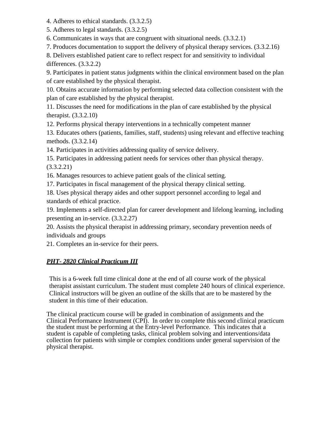4. Adheres to ethical standards. (3.3.2.5)

5. Adheres to legal standards. (3.3.2.5)

6. Communicates in ways that are congruent with situational needs. (3.3.2.1)

7. Produces documentation to support the delivery of physical therapy services. (3.3.2.16)

8. Delivers established patient care to reflect respect for and sensitivity to individual differences. (3.3.2.2)

9. Participates in patient status judgments within the clinical environment based on the plan of care established by the physical therapist.

10. Obtains accurate information by performing selected data collection consistent with the plan of care established by the physical therapist.

11. Discusses the need for modifications in the plan of care established by the physical therapist. (3.3.2.10)

12. Performs physical therapy interventions in a technically competent manner

13. Educates others (patients, families, staff, students) using relevant and effective teaching methods. (3.3.2.14)

14. Participates in activities addressing quality of service delivery.

15. Participates in addressing patient needs for services other than physical therapy. (3.3.2.21)

16. Manages resources to achieve patient goals of the clinical setting.

17. Participates in fiscal management of the physical therapy clinical setting.

18. Uses physical therapy aides and other support personnel according to legal and standards of ethical practice.

19. Implements a self-directed plan for career development and lifelong learning, including presenting an in-service. (3.3.2.27)

20. Assists the physical therapist in addressing primary, secondary prevention needs of individuals and groups

21. Completes an in-service for their peers.

# *PHT- 2820 Clinical Practicum III*

This is a 6-week full time clinical done at the end of all course work of the physical therapist assistant curriculum. The student must complete 240 hours of clinical experience. Clinical instructors will be given an outline of the skills that are to be mastered by the student in this time of their education.

The clinical practicum course will be graded in combination of assignments and the Clinical Performance Instrument (CPI). In order to complete this second clinical practicum the student must be performing at the Entry-level Performance. This indicates that a student is capable of completing tasks, clinical problem solving and interventions/data collection for patients with simple or complex conditions under general supervision of the physical therapist.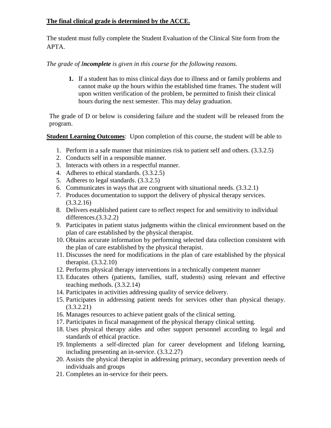## **The final clinical grade is determined by the ACCE.**

The student must fully complete the Student Evaluation of the Clinical Site form from the APTA.

*The grade of Incomplete is given in this course for the following reasons.*

**1.** If a student has to miss clinical days due to illness and or family problems and cannot make up the hours within the established time frames. The student will upon written verification of the problem, be permitted to finish their clinical hours during the next semester. This may delay graduation.

The grade of D or below is considering failure and the student will be released from the program.

**Student Learning Outcomes**: Upon completion of this course, the student will be able to

- 1. Perform in a safe manner that minimizes risk to patient self and others. (3.3.2.5)
- 2. Conducts self in a responsible manner.
- 3. Interacts with others in a respectful manner.
- 4. Adheres to ethical standards. (3.3.2.5)
- 5. Adheres to legal standards. (3.3.2.5)
- 6. Communicates in ways that are congruent with situational needs. (3.3.2.1)
- 7. Produces documentation to support the delivery of physical therapy services. (3.3.2.16)
- 8. Delivers established patient care to reflect respect for and sensitivity to individual differences.(3.3.2.2)
- 9. Participates in patient status judgments within the clinical environment based on the plan of care established by the physical therapist.
- 10. Obtains accurate information by performing selected data collection consistent with the plan of care established by the physical therapist.
- 11. Discusses the need for modifications in the plan of care established by the physical therapist. (3.3.2.10)
- 12. Performs physical therapy interventions in a technically competent manner
- 13. Educates others (patients, families, staff, students) using relevant and effective teaching methods. (3.3.2.14)
- 14. Participates in activities addressing quality of service delivery.
- 15. Participates in addressing patient needs for services other than physical therapy. (3.3.2.21)
- 16. Manages resources to achieve patient goals of the clinical setting.
- 17. Participates in fiscal management of the physical therapy clinical setting.
- 18. Uses physical therapy aides and other support personnel according to legal and standards of ethical practice.
- 19. Implements a self-directed plan for career development and lifelong learning, including presenting an in-service. (3.3.2.27)
- 20. Assists the physical therapist in addressing primary, secondary prevention needs of individuals and groups
- 21. Completes an in-service for their peers.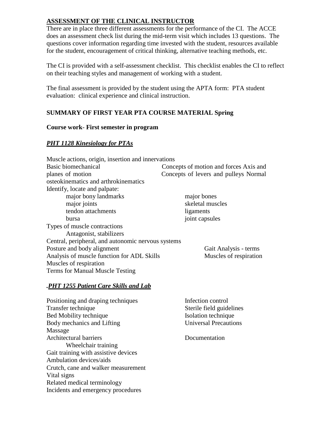## **ASSESSMENT OF THE CLINICAL INSTRUCTOR**

There are in place three different assessments for the performance of the CI. The ACCE does an assessment check list during the mid-term visit which includes 13 questions. The questions cover information regarding time invested with the student, resources available for the student, encouragement of critical thinking, alternative teaching methods, etc.

The CI is provided with a self-assessment checklist. This checklist enables the CI to reflect on their teaching styles and management of working with a student.

The final assessment is provided by the student using the APTA form: PTA student evaluation: clinical experience and clinical instruction.

# **SUMMARY OF FIRST YEAR PTA COURSE MATERIAL Spring**

#### **Course work**- **First semester in program**

## *PHT 1128 Kinesiology for PTAs*

| Muscle actions, origin, insertion and innervations |                                        |
|----------------------------------------------------|----------------------------------------|
| Basic biomechanical                                | Concepts of motion and forces Axis and |
| planes of motion                                   | Concepts of levers and pulleys Normal  |
| osteokinematics and arthrokinematics               |                                        |
| Identify, locate and palpate:                      |                                        |
| major bony landmarks                               | major bones                            |
| major joints                                       | skeletal muscles                       |
| tendon attachments                                 | ligaments                              |
| bursa                                              | joint capsules                         |
| Types of muscle contractions                       |                                        |
| Antagonist, stabilizers                            |                                        |
| Central, peripheral, and autonomic nervous systems |                                        |
| Posture and body alignment                         | Gait Analysis - terms                  |
| Analysis of muscle function for ADL Skills         | Muscles of respiration                 |
| Muscles of respiration                             |                                        |
| Terms for Manual Muscle Testing                    |                                        |

#### *.PHT 1255 Patient Care Skills and Lab*

| Positioning and draping techniques   | Infection control            |
|--------------------------------------|------------------------------|
| Transfer technique                   | Sterile field guidelines     |
| Bed Mobility technique               | Isolation technique          |
| Body mechanics and Lifting           | <b>Universal Precautions</b> |
| Massage                              |                              |
| Architectural barriers               | Documentation                |
| Wheelchair training                  |                              |
| Gait training with assistive devices |                              |
| Ambulation devices/aids              |                              |
| Crutch, cane and walker measurement  |                              |
| Vital signs                          |                              |
| Related medical terminology          |                              |
| Incidents and emergency procedures   |                              |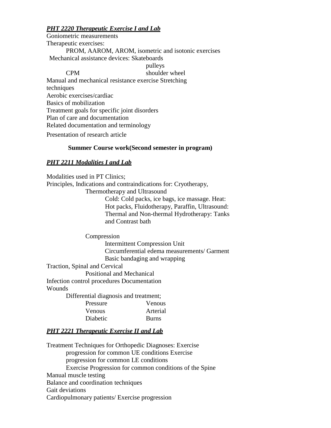## *PHT 2220 Therapeutic Exercise I and Lab*

Goniometric measurements Therapeutic exercises: PROM, AAROM, AROM, isometric and isotonic exercises Mechanical assistance devices: Skateboards pulleys CPM shoulder wheel Manual and mechanical resistance exercise Stretching techniques Aerobic exercises/cardiac Basics of mobilization Treatment goals for specific joint disorders Plan of care and documentation

Related documentation and terminology

Presentation of research article

#### **Summer Course work(Second semester in program)**

#### *PHT 2211 Modalities I and Lab*

Modalities used in PT Clinics; Principles, Indications and contraindications for: Cryotherapy, Thermotherapy and Ultrasound Cold: Cold packs, ice bags, ice massage. Heat: Hot packs, Fluidotherapy, Paraffin, Ultrasound: Thermal and Non-thermal Hydrotherapy: Tanks and Contrast bath Compression

> Intermittent Compression Unit Circumferential edema measurements/ Garment Basic bandaging and wrapping

Traction, Spinal and Cervical

Positional and Mechanical

Infection control procedures Documentation

Wounds

Differential diagnosis and treatment;

| Pressure      | <b>Venous</b> |
|---------------|---------------|
| <b>Venous</b> | Arterial      |
| Diabetic      | <b>Burns</b>  |

#### *PHT 2221 Therapeutic Exercise II and Lab*

Treatment Techniques for Orthopedic Diagnoses: Exercise progression for common UE conditions Exercise progression for common LE conditions Exercise Progression for common conditions of the Spine Manual muscle testing Balance and coordination techniques Gait deviations Cardiopulmonary patients/ Exercise progression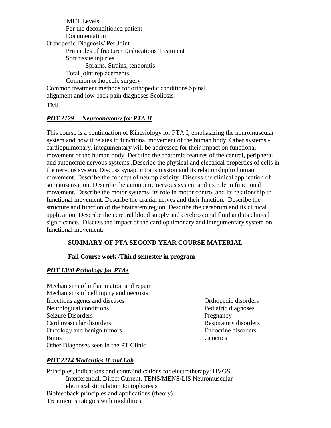MET Levels For the deconditioned patient Documentation Orthopedic Diagnosis/ Per Joint Principles of fracture/ Dislocations Treatment Soft tissue injuries Sprains, Strains, tendonitis Total joint replacements Common orthopedic surgery Common treatment methods for orthopedic conditions Spinal alignment and low back pain diagnoses Scoliosis

#### TMJ

#### *PHT 2129 – Neuroanatomy for PTA II*

This course is a continuation of Kinesiology for PTA I, emphasizing the neuromuscular system and how it relates to functional movement of the human body. Other systems cardiopulmonary, integumentary will be addressed for their impact on functional movement of the human body. Describe the anatomic features of the central, peripheral and autonomic nervous systems .Describe the physical and electrical properties of cells in the nervous system. Discuss synaptic transmission and its relationship to human movement. Describe the concept of neuroplasticity. Discuss the clinical application of somatosensation. Describe the autonomic nervous system and its role in functional movement. Describe the motor systems, its role in motor control and its relationship to functional movement. Describe the cranial nerves and their function. Describe the structure and function of the brainstem region. Describe the cerebrum and its clinical application. Describe the cerebral blood supply and cerebrospinal fluid and its clinical significance. .Discuss the impact of the cardiopulmonary and integumentary system on functional movement.

## **SUMMARY OF PTA SECOND YEAR COURSE MATERIAL**

#### **Fall Course work /Third semester in program**

#### *PHT 1300 Pathology for PTAs*

- Mechanisms of inflammation and repair Mechanisms of cell injury and necrosis Infectious agents and diseases Orthopedic disorders Neurological conditions Pediatric diagnoses Seizure Disorders Pregnancy Cardiovascular disorders **Respiratory disorders** Respiratory disorders Oncology and benign tumors Endocrine disorders Burns Genetics Genetics Other Diagnoses seen in the PT Clinic
	-

## *PHT 2214 Modalities II and Lab*

Principles, indications and contraindications for electrotherapy: HVGS, Interferential, Direct Current, TENS/MENS/LIS Neuromuscular electrical stimulation Iontophoresis Biofeedback principles and applications (theory) Treatment strategies with modalities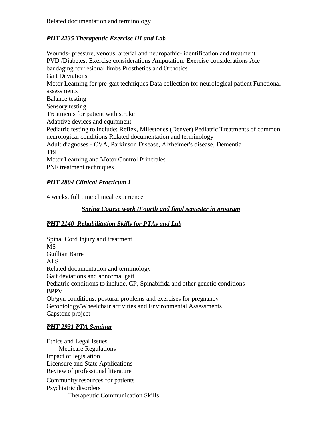# *PHT 2235 Therapeutic Exercise III and Lab*

Wounds- pressure, venous, arterial and neuropathic- identification and treatment PVD /Diabetes: Exercise considerations Amputation: Exercise considerations Ace bandaging for residual limbs Prosthetics and Orthotics Gait Deviations Motor Learning for pre-gait techniques Data collection for neurological patient Functional assessments Balance testing Sensory testing Treatments for patient with stroke Adaptive devices and equipment Pediatric testing to include: Reflex, Milestones (Denver) Pediatric Treatments of common neurological conditions Related documentation and terminology Adult diagnoses - CVA, Parkinson Disease, Alzheimer's disease, Dementia TBI Motor Learning and Motor Control Principles PNF treatment techniques

# *PHT 2804 Clinical Practicum I*

4 weeks, full time clinical experience

# *Spring Course work /Fourth and final semester in program*

## *PHT 2140 Rehabilitation Skills for PTAs and Lab*

Spinal Cord Injury and treatment MS Guillian Barre ALS Related documentation and terminology Gait deviations and abnormal gait Pediatric conditions to include, CP, Spinabifida and other genetic conditions BPPV Ob/gyn conditions: postural problems and exercises for pregnancy Gerontology/Wheelchair activities and Environmental Assessments Capstone project

# *PHT 2931 PTA Seminar*

Ethics and Legal Issues .Medicare Regulations Impact of legislation Licensure and State Applications Review of professional literature Community resources for patients Psychiatric disorders Therapeutic Communication Skills